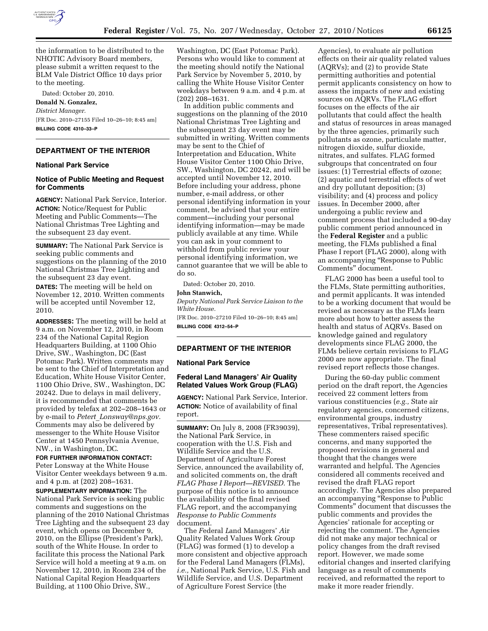

the information to be distributed to the NHOTIC Advisory Board members, please submit a written request to the BLM Vale District Office 10 days prior to the meeting.

Dated: October 20, 2010. **Donald N. Gonzalez,**  *District Manager.*  [FR Doc. 2010–27155 Filed 10–26–10; 8:45 am] **BILLING CODE 4310–33–P** 

# **DEPARTMENT OF THE INTERIOR**

### **National Park Service**

### **Notice of Public Meeting and Request for Comments**

**AGENCY:** National Park Service, Interior. **ACTION:** Notice/Request for Public Meeting and Public Comments—The National Christmas Tree Lighting and the subsequent 23 day event.

**SUMMARY:** The National Park Service is seeking public comments and suggestions on the planning of the 2010 National Christmas Tree Lighting and the subsequent 23 day event.

**DATES:** The meeting will be held on November 12, 2010. Written comments will be accepted until November 12, 2010.

**ADDRESSES:** The meeting will be held at 9 a.m. on November 12, 2010, in Room 234 of the National Capital Region Headquarters Building, at 1100 Ohio Drive, SW., Washington, DC (East Potomac Park). Written comments may be sent to the Chief of Interpretation and Education, White House Visitor Center, 1100 Ohio Drive, SW., Washington, DC 20242. Due to delays in mail delivery, it is recommended that comments be provided by telefax at 202–208–1643 or by e-mail to *Petert*\_*[Lonsway@nps.gov.](mailto:Petert_Lonsway@nps.gov)*  Comments may also be delivered by messenger to the White House Visitor Center at 1450 Pennsylvania Avenue, NW., in Washington, DC.

# **FOR FURTHER INFORMATION CONTACT:**

Peter Lonsway at the White House Visitor Center weekdays between 9 a.m. and 4 p.m. at (202) 208–1631.

**SUPPLEMENTARY INFORMATION:** The National Park Service is seeking public comments and suggestions on the planning of the 2010 National Christmas Tree Lighting and the subsequent 23 day event, which opens on December 9, 2010, on the Ellipse (President's Park), south of the White House. In order to facilitate this process the National Park Service will hold a meeting at 9 a.m. on November 12, 2010, in Room 234 of the National Capital Region Headquarters Building, at 1100 Ohio Drive, SW.,

Washington, DC (East Potomac Park). Persons who would like to comment at the meeting should notify the National Park Service by November 5, 2010, by calling the White House Visitor Center weekdays between 9 a.m. and 4 p.m. at (202) 208–1631.

In addition public comments and suggestions on the planning of the 2010 National Christmas Tree Lighting and the subsequent 23 day event may be submitted in writing. Written comments may be sent to the Chief of Interpretation and Education, White House Visitor Center 1100 Ohio Drive, SW., Washington, DC 20242, and will be accepted until November 12, 2010. Before including your address, phone number, e-mail address, or other personal identifying information in your comment, be advised that your entire comment—including your personal identifying information—may be made publicly available at any time. While you can ask in your comment to withhold from public review your personal identifying information, we cannot guarantee that we will be able to do so.

Dated: October 20, 2010.

### **John Stanwich,**

*Deputy National Park Service Liaison to the White House.* 

[FR Doc. 2010–27210 Filed 10–26–10; 8:45 am] **BILLING CODE 4312–54–P** 

#### **DEPARTMENT OF THE INTERIOR**

#### **National Park Service**

### **Federal Land Managers' Air Quality Related Values Work Group (FLAG)**

**AGENCY:** National Park Service, Interior. **ACTION:** Notice of availability of final report.

**SUMMARY:** On July 8, 2008 (FR39039), the National Park Service, in cooperation with the U.S. Fish and Wildlife Service and the U.S. Department of Agriculture Forest Service, announced the availability of, and solicited comments on, the draft *FLAG Phase I Report—REVISED.* The purpose of this notice is to announce the availability of the final revised FLAG report, and the accompanying *Response to Public Comments*  document.

The *F*ederal *L*and Managers' *A*ir Quality Related Values Work *G*roup (FLAG) was formed (1) to develop a more consistent and objective approach for the Federal Land Managers (FLMs), *i.e.,* National Park Service, U.S. Fish and Wildlife Service, and U.S. Department of Agriculture Forest Service (the

Agencies), to evaluate air pollution effects on their air quality related values (AQRVs); and (2) to provide State permitting authorities and potential permit applicants consistency on how to assess the impacts of new and existing sources on AQRVs. The FLAG effort focuses on the effects of the air pollutants that could affect the health and status of resources in areas managed by the three agencies, primarily such pollutants as ozone, particulate matter, nitrogen dioxide, sulfur dioxide, nitrates, and sulfates. FLAG formed subgroups that concentrated on four issues: (1) Terrestrial effects of ozone; (2) aquatic and terrestrial effects of wet and dry pollutant deposition; (3) visibility; and (4) process and policy issues. In December 2000, after undergoing a public review and comment process that included a 90-day public comment period announced in the **Federal Register** and a public meeting, the FLMs published a final Phase I report (FLAG 2000), along with an accompanying ''Response to Public Comments'' document.

FLAG 2000 has been a useful tool to the FLMs, State permitting authorities, and permit applicants. It was intended to be a working document that would be revised as necessary as the FLMs learn more about how to better assess the health and status of AQRVs. Based on knowledge gained and regulatory developments since FLAG 2000, the FLMs believe certain revisions to FLAG 2000 are now appropriate. The final revised report reflects those changes.

During the 60-day public comment period on the draft report, the Agencies received 22 comment letters from various constituencies (*e.g.,* State air regulatory agencies, concerned citizens, environmental groups, industry representatives, Tribal representatives). These commenters raised specific concerns, and many supported the proposed revisions in general and thought that the changes were warranted and helpful. The Agencies considered all comments received and revised the draft FLAG report accordingly. The Agencies also prepared an accompanying ''Response to Public Comments'' document that discusses the public comments and provides the Agencies' rationale for accepting or rejecting the comment. The Agencies did not make any major technical or policy changes from the draft revised report. However, we made some editorial changes and inserted clarifying language as a result of comments received, and reformatted the report to make it more reader friendly.